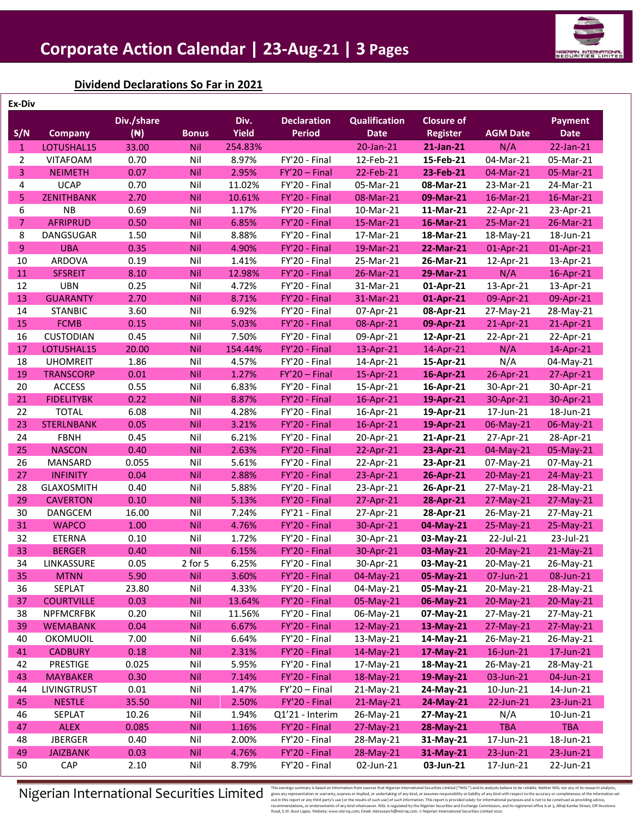

# **Dividend Declarations So Far in 2021**

| Ex-Div         |                   |                |              |              |                    |                      |                   |                 |                |
|----------------|-------------------|----------------|--------------|--------------|--------------------|----------------------|-------------------|-----------------|----------------|
|                |                   | Div./share     |              | Div.         | <b>Declaration</b> | <b>Qualification</b> | <b>Closure of</b> |                 | <b>Payment</b> |
| S/N            | <b>Company</b>    | $(\mathbb{N})$ | <b>Bonus</b> | <b>Yield</b> | <b>Period</b>      | <b>Date</b>          | <b>Register</b>   | <b>AGM Date</b> | <b>Date</b>    |
| $\mathbf{1}$   | LOTUSHAL15        | 33.00          | Nil          | 254.83%      |                    | 20-Jan-21            | 21-Jan-21         | N/A             | 22-Jan-21      |
| $\overline{2}$ | <b>VITAFOAM</b>   | 0.70           | Nil          | 8.97%        | FY'20 - Final      | 12-Feb-21            | 15-Feb-21         | 04-Mar-21       | 05-Mar-21      |
| 3              | <b>NEIMETH</b>    | 0.07           | Nil          | 2.95%        | $FY'20 - Final$    | 22-Feb-21            | 23-Feb-21         | 04-Mar-21       | 05-Mar-21      |
| 4              | <b>UCAP</b>       | 0.70           | Nil          | 11.02%       | FY'20 - Final      | 05-Mar-21            | 08-Mar-21         | 23-Mar-21       | 24-Mar-21      |
| 5              | <b>ZENITHBANK</b> | 2.70           | Nil          | 10.61%       | FY'20 - Final      | 08-Mar-21            | 09-Mar-21         | 16-Mar-21       | 16-Mar-21      |
| 6              | <b>NB</b>         | 0.69           | Nil          | 1.17%        | FY'20 - Final      | 10-Mar-21            | 11-Mar-21         | 22-Apr-21       | 23-Apr-21      |
| $\overline{7}$ | <b>AFRIPRUD</b>   | 0.50           | Nil          | 6.85%        | FY'20 - Final      | 15-Mar-21            | 16-Mar-21         | 25-Mar-21       | 26-Mar-21      |
| 8              | DANGSUGAR         | 1.50           | Nil          | 8.88%        | FY'20 - Final      | 17-Mar-21            | 18-Mar-21         | 18-May-21       | 18-Jun-21      |
| 9              | <b>UBA</b>        | 0.35           | Nil          | 4.90%        | FY'20 - Final      | 19-Mar-21            | 22-Mar-21         | 01-Apr-21       | 01-Apr-21      |
| 10             | ARDOVA            | 0.19           | Nil          | 1.41%        | FY'20 - Final      | 25-Mar-21            | 26-Mar-21         | 12-Apr-21       | 13-Apr-21      |
| 11             | <b>SFSREIT</b>    | 8.10           | Nil          | 12.98%       | FY'20 - Final      | 26-Mar-21            | 29-Mar-21         | N/A             | 16-Apr-21      |
| 12             | <b>UBN</b>        | 0.25           | Nil          | 4.72%        | FY'20 - Final      | 31-Mar-21            | 01-Apr-21         | 13-Apr-21       | 13-Apr-21      |
| 13             | <b>GUARANTY</b>   | 2.70           | Nil          | 8.71%        | FY'20 - Final      | 31-Mar-21            | 01-Apr-21         | 09-Apr-21       | 09-Apr-21      |
| 14             | <b>STANBIC</b>    | 3.60           | Nil          | 6.92%        | FY'20 - Final      | 07-Apr-21            | 08-Apr-21         | 27-May-21       | 28-May-21      |
| 15             | <b>FCMB</b>       | 0.15           | Nil          | 5.03%        | FY'20 - Final      | 08-Apr-21            | 09-Apr-21         | 21-Apr-21       | 21-Apr-21      |
| 16             | <b>CUSTODIAN</b>  | 0.45           | Nil          | 7.50%        | FY'20 - Final      | 09-Apr-21            | 12-Apr-21         | 22-Apr-21       | 22-Apr-21      |
| 17             | LOTUSHAL15        | 20.00          | Nil          | 154.44%      | FY'20 - Final      | 13-Apr-21            | 14-Apr-21         | N/A             | 14-Apr-21      |
| 18             | <b>UHOMREIT</b>   | 1.86           | Nil          | 4.57%        | FY'20 - Final      | 14-Apr-21            | 15-Apr-21         | N/A             | 04-May-21      |
| 19             | <b>TRANSCORP</b>  | 0.01           | Nil          | 1.27%        | $FY'20 - Final$    | 15-Apr-21            | 16-Apr-21         | 26-Apr-21       | 27-Apr-21      |
| 20             | <b>ACCESS</b>     | 0.55           | Nil          | 6.83%        | FY'20 - Final      | 15-Apr-21            | 16-Apr-21         | 30-Apr-21       | 30-Apr-21      |
| 21             | <b>FIDELITYBK</b> | 0.22           | Nil          | 8.87%        | FY'20 - Final      | 16-Apr-21            | 19-Apr-21         | 30-Apr-21       | 30-Apr-21      |
| 22             | <b>TOTAL</b>      | 6.08           | Nil          | 4.28%        | FY'20 - Final      | 16-Apr-21            | 19-Apr-21         | 17-Jun-21       | 18-Jun-21      |
| 23             | <b>STERLNBANK</b> | 0.05           | Nil          | 3.21%        | FY'20 - Final      | 16-Apr-21            | 19-Apr-21         | 06-May-21       | 06-May-21      |
| 24             | <b>FBNH</b>       | 0.45           | Nil          | 6.21%        | FY'20 - Final      | 20-Apr-21            | 21-Apr-21         | 27-Apr-21       | 28-Apr-21      |
| 25             | <b>NASCON</b>     | 0.40           | Nil          | 2.63%        | FY'20 - Final      | 22-Apr-21            | 23-Apr-21         | 04-May-21       | 05-May-21      |
| 26             | MANSARD           | 0.055          | Nil          | 5.61%        | FY'20 - Final      | 22-Apr-21            | 23-Apr-21         | 07-May-21       | 07-May-21      |
| 27             | <b>INFINITY</b>   | 0.04           | Nil          | 2.88%        | FY'20 - Final      | 23-Apr-21            | 26-Apr-21         | 20-May-21       | 24-May-21      |
| 28             | <b>GLAXOSMITH</b> | 0.40           | Nil          | 5.88%        | FY'20 - Final      | 23-Apr-21            | 26-Apr-21         | 27-May-21       | 28-May-21      |
| 29             | <b>CAVERTON</b>   | 0.10           | Nil          | 5.13%        | FY'20 - Final      | 27-Apr-21            | 28-Apr-21         | 27-May-21       | 27-May-21      |
| 30             | <b>DANGCEM</b>    | 16.00          | Nil          | 7.24%        | FY'21 - Final      | 27-Apr-21            | 28-Apr-21         | 26-May-21       | 27-May-21      |
| 31             | <b>WAPCO</b>      | 1.00           | Nil          | 4.76%        | FY'20 - Final      | 30-Apr-21            | 04-May-21         | 25-May-21       | 25-May-21      |
| 32             | <b>ETERNA</b>     | 0.10           | Nil          | 1.72%        | FY'20 - Final      | 30-Apr-21            | 03-May-21         | 22-Jul-21       | 23-Jul-21      |
| 33             | <b>BERGER</b>     | 0.40           | Nil          | 6.15%        | FY'20 - Final      | 30-Apr-21            | 03-May-21         | 20-May-21       | $21-May-21$    |
| 34             | LINKASSURE        | 0.05           | 2 for 5      | 6.25%        | FY'20 - Final      | 30-Apr-21            | 03-May-21         | 20-May-21       | 26-May-21      |
| 35             | <b>MTNN</b>       | 5.90           | Nil          | 3.60%        | FY'20 - Final      | 04-May-21            | 05-May-21         | 07-Jun-21       | 08-Jun-21      |
| 36             | SEPLAT            | 23.80          | Nil          | 4.33%        | FY'20 - Final      | 04-May-21            | 05-May-21         | 20-May-21       | 28-May-21      |
| 37             | <b>COURTVILLE</b> | 0.03           | <b>Nil</b>   | 13.64%       | FY'20 - Final      | 05-May-21            | 06-May-21         | 20-May-21       | $20-May-21$    |
| 38             | <b>NPFMCRFBK</b>  | 0.20           | Nil          | 11.56%       | FY'20 - Final      | 06-May-21            | 07-May-21         | 27-May-21       | 27-May-21      |
| 39             | <b>WEMABANK</b>   | 0.04           | <b>Nil</b>   | 6.67%        | FY'20 - Final      | 12-May-21            | 13-May-21         | 27-May-21       | 27-May-21      |
| 40             | OKOMUOIL          | 7.00           | Nil          | 6.64%        | FY'20 - Final      | 13-May-21            | 14-May-21         | 26-May-21       | 26-May-21      |
| 41             | <b>CADBURY</b>    | 0.18           | Nil          | 2.31%        | FY'20 - Final      | 14-May-21            | 17-May-21         | $16$ -Jun-21    | 17-Jun-21      |
| 42             | <b>PRESTIGE</b>   | 0.025          | Nil          | 5.95%        | FY'20 - Final      | 17-May-21            | 18-May-21         | 26-May-21       | 28-May-21      |
| 43             | <b>MAYBAKER</b>   | 0.30           | <b>Nil</b>   | 7.14%        | FY'20 - Final      | 18-May-21            | 19-May-21         | 03-Jun-21       | 04-Jun-21      |
| 44             | LIVINGTRUST       | 0.01           | Nil          | 1.47%        | $FY'20 - Final$    | 21-May-21            | 24-May-21         | 10-Jun-21       | 14-Jun-21      |
| 45             | <b>NESTLE</b>     | 35.50          | Nil          | 2.50%        | FY'20 - Final      | 21-May-21            | 24-May-21         | 22-Jun-21       | 23-Jun-21      |
| 46             | SEPLAT            | 10.26          | Nil          | 1.94%        | Q1'21 - Interim    | 26-May-21            | 27-May-21         | N/A             | 10-Jun-21      |
| 47             | <b>ALEX</b>       | 0.085          | Nil          | 1.16%        | FY'20 - Final      | 27-May-21            | 28-May-21         | <b>TBA</b>      | <b>TBA</b>     |
| 48             | <b>JBERGER</b>    | 0.40           | Nil          | 2.00%        | FY'20 - Final      | 28-May-21            | 31-May-21         | 17-Jun-21       | 18-Jun-21      |
| 49             | <b>JAIZBANK</b>   | 0.03           | Nil          | 4.76%        |                    |                      | 31-May-21         | 23-Jun-21       |                |
| 50             |                   |                |              |              | FY'20 - Final      | 28-May-21            |                   |                 | 23-Jun-21      |
|                | CAP               | 2.10           | Nil          | 8.79%        | FY'20 - Final      | 02-Jun-21            | 03-Jun-21         | 17-Jun-21       | 22-Jun-21      |

 $\textbf{N}$  isteraining summarily based on information of or multile archive in the security examples in maring is based on information for our and information for summarily express or implied, or undertaking of any kind, or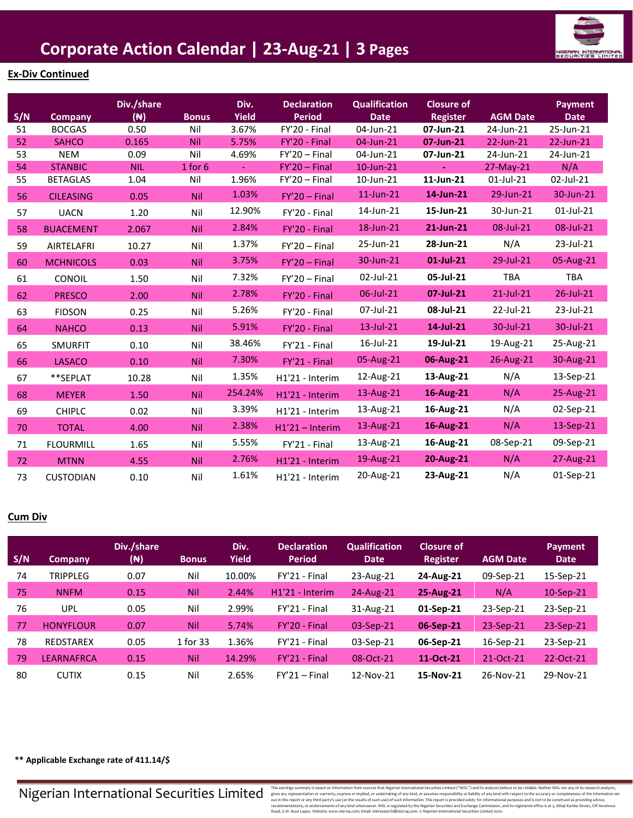

## **Ex-Div Continued**

| S/N | Company          | Div./share<br>$(\mathbb{N})$ | <b>Bonus</b> | Div.<br><b>Yield</b> | <b>Declaration</b><br><b>Period</b> | <b>Qualification</b><br><b>Date</b> | <b>Closure of</b><br><b>Register</b> | <b>AGM Date</b> | <b>Payment</b><br><b>Date</b> |
|-----|------------------|------------------------------|--------------|----------------------|-------------------------------------|-------------------------------------|--------------------------------------|-----------------|-------------------------------|
| 51  | <b>BOCGAS</b>    | 0.50                         | Nil          | 3.67%                | FY'20 - Final                       | 04-Jun-21                           | 07-Jun-21                            | 24-Jun-21       | 25-Jun-21                     |
| 52  | <b>SAHCO</b>     | 0.165                        | Nil          | 5.75%                | FY'20 - Final                       | 04-Jun-21                           | 07-Jun-21                            | 22-Jun-21       | 22-Jun-21                     |
| 53  | <b>NEM</b>       | 0.09                         | Nil          | 4.69%                | $FY'20 - Final$                     | 04-Jun-21                           | 07-Jun-21                            | 24-Jun-21       | 24-Jun-21                     |
| 54  | <b>STANBIC</b>   | <b>NIL</b>                   | $1$ for $6$  | $\equiv$             | $FY'20 - Final$                     | 10-Jun-21                           | $\blacksquare$                       | 27-May-21       | N/A                           |
| 55  | <b>BETAGLAS</b>  | 1.04                         | Nil          | 1.96%                | $FY'20 - Final$                     | 10-Jun-21                           | 11-Jun-21                            | $01$ -Jul-21    | 02-Jul-21                     |
| 56  | <b>CILEASING</b> | 0.05                         | Nil          | 1.03%                | $FY'20 - Final$                     | 11-Jun-21                           | 14-Jun-21                            | 29-Jun-21       | 30-Jun-21                     |
| 57  | <b>UACN</b>      | 1.20                         | Nil          | 12.90%               | FY'20 - Final                       | 14-Jun-21                           | 15-Jun-21                            | 30-Jun-21       | 01-Jul-21                     |
| 58  | <b>BUACEMENT</b> | 2.067                        | Nil          | 2.84%                | FY'20 - Final                       | 18-Jun-21                           | 21-Jun-21                            | 08-Jul-21       | 08-Jul-21                     |
| 59  | AIRTELAFRI       | 10.27                        | Nil          | 1.37%                | $FY'20 - Final$                     | 25-Jun-21                           | 28-Jun-21                            | N/A             | 23-Jul-21                     |
| 60  | <b>MCHNICOLS</b> | 0.03                         | Nil          | 3.75%                | $FY'20 - Final$                     | 30-Jun-21                           | $01$ -Jul-21                         | 29-Jul-21       | 05-Aug-21                     |
| 61  | CONOIL           | 1.50                         | Nil          | 7.32%                | $FY'20 - Final$                     | 02-Jul-21                           | 05-Jul-21                            | TBA             | <b>TBA</b>                    |
| 62  | <b>PRESCO</b>    | 2.00                         | Nil          | 2.78%                | FY'20 - Final                       | 06-Jul-21                           | 07-Jul-21                            | $21$ -Jul-21    | 26-Jul-21                     |
| 63  | <b>FIDSON</b>    | 0.25                         | Nil          | 5.26%                | FY'20 - Final                       | 07-Jul-21                           | 08-Jul-21                            | 22-Jul-21       | 23-Jul-21                     |
| 64  | <b>NAHCO</b>     | 0.13                         | <b>Nil</b>   | 5.91%                | FY'20 - Final                       | 13-Jul-21                           | 14-Jul-21                            | 30-Jul-21       | 30-Jul-21                     |
| 65  | <b>SMURFIT</b>   | 0.10                         | Nil          | 38.46%               | FY'21 - Final                       | 16-Jul-21                           | 19-Jul-21                            | 19-Aug-21       | 25-Aug-21                     |
| 66  | <b>LASACO</b>    | 0.10                         | Nil          | 7.30%                | FY'21 - Final                       | 05-Aug-21                           | 06-Aug-21                            | 26-Aug-21       | 30-Aug-21                     |
| 67  | **SEPLAT         | 10.28                        | Nil          | 1.35%                | H1'21 - Interim                     | 12-Aug-21                           | 13-Aug-21                            | N/A             | 13-Sep-21                     |
| 68  | <b>MEYER</b>     | 1.50                         | Nil          | 254.24%              | H1'21 - Interim                     | 13-Aug-21                           | 16-Aug-21                            | N/A             | 25-Aug-21                     |
| 69  | <b>CHIPLC</b>    | 0.02                         | Nil          | 3.39%                | H1'21 - Interim                     | 13-Aug-21                           | 16-Aug-21                            | N/A             | 02-Sep-21                     |
| 70  | <b>TOTAL</b>     | 4.00                         | Nil          | 2.38%                | $H1'21 - Interm$                    | 13-Aug-21                           | 16-Aug-21                            | N/A             | 13-Sep-21                     |
| 71  | <b>FLOURMILL</b> | 1.65                         | Nil          | 5.55%                | FY'21 - Final                       | 13-Aug-21                           | 16-Aug-21                            | 08-Sep-21       | 09-Sep-21                     |
| 72  | <b>MTNN</b>      | 4.55                         | Nil          | 2.76%                | H1'21 - Interim                     | 19-Aug-21                           | 20-Aug-21                            | N/A             | 27-Aug-21                     |
| 73  | <b>CUSTODIAN</b> | 0.10                         | Nil          | 1.61%                | H1'21 - Interim                     | 20-Aug-21                           | 23-Aug-21                            | N/A             | 01-Sep-21                     |

#### **Cum Div**

| S/N | <b>Company</b>    | Div./share<br>$(\mathbb{N})$ | <b>Bonus</b> | Div.<br><b>Yield</b> | <b>Declaration</b><br><b>Period</b> | <b>Qualification</b><br><b>Date</b> | Closure of<br><b>Register</b> | <b>AGM Date</b> | <b>Payment</b><br><b>Date</b> |
|-----|-------------------|------------------------------|--------------|----------------------|-------------------------------------|-------------------------------------|-------------------------------|-----------------|-------------------------------|
| 74  | TRIPPLEG          | 0.07                         | Nil          | 10.00%               | FY'21 - Final                       | 23-Aug-21                           | 24-Aug-21                     | 09-Sep-21       | 15-Sep-21                     |
| 75  | <b>NNFM</b>       | 0.15                         | <b>Nil</b>   | 2.44%                | H1'21 - Interim                     | $24$ -Aug-21                        | 25-Aug-21                     | N/A             | $10-Sep-21$                   |
| 76  | UPL               | 0.05                         | Nil          | 2.99%                | FY'21 - Final                       | 31-Aug-21                           | 01-Sep-21                     | 23-Sep-21       | 23-Sep-21                     |
| 77  | <b>HONYFLOUR</b>  | 0.07                         | <b>Nil</b>   | 5.74%                | FY'20 - Final                       | 03-Sep-21                           | 06-Sep-21                     | 23-Sep-21       | 23-Sep-21                     |
| 78  | <b>REDSTAREX</b>  | 0.05                         | 1 for 33     | 1.36%                | FY'21 - Final                       | 03-Sep-21                           | 06-Sep-21                     | 16-Sep-21       | 23-Sep-21                     |
| 79  | <b>LEARNAFRCA</b> | 0.15                         | <b>Nil</b>   | 14.29%               | FY'21 - Final                       | 08-Oct-21                           | 11-Oct-21                     | 21-Oct-21       | 22-Oct-21                     |
| 80  | <b>CUTIX</b>      | 0.15                         | Nil          | 2.65%                | $FY'21 - Final$                     | 12-Nov-21                           | 15-Nov-21                     | 26-Nov-21       | 29-Nov-21                     |

**\*\* Applicable Exchange rate of 411.14/\$**

 $\textbf{N}$  isteraining summarily based on information of or multile archive in the security examples in maring is based on information for our and information for summarily express or implied, or undertaking of any kind, or